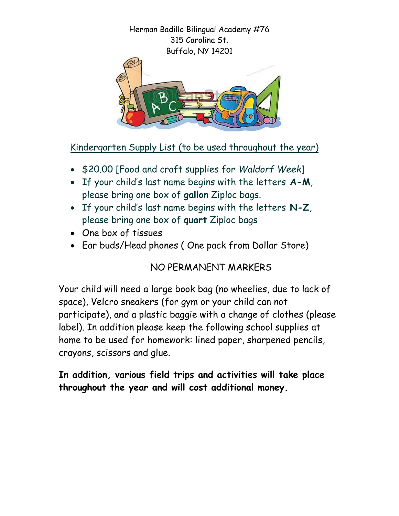Herman Badillo Bilingual Academy #76 315 Carolina St. Buffalo, NY 14201



Kindergarten Supply List (to be used throughout the year)

- \$20.00 [Food and craft supplies for *Waldorf Week*]
- If your child's last name begins with the letters **A-M**, please bring one box of **gallon** Ziploc bags.
- If your child's last name begins with the letters **N-Z**, please bring one box of **quart** Ziploc bags
- One box of tissues
- Ear buds/Head phones ( One pack from Dollar Store)

NO PERMANENT MARKERS

Your child will need a large book bag (no wheelies, due to lack of space), Velcro sneakers (for gym or your child can not participate), and a plastic baggie with a change of clothes (please label). In addition please keep the following school supplies at home to be used for homework: lined paper, sharpened pencils, crayons, scissors and glue.

**In addition, various field trips and activities will take place throughout the year and will cost additional money.**